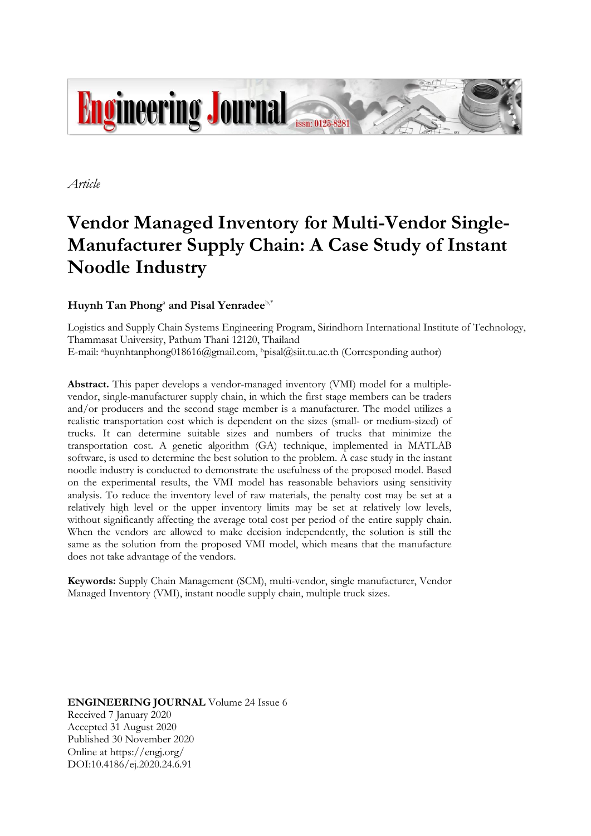

*Article*

# **Vendor Managed Inventory for Multi-Vendor Single-Manufacturer Supply Chain: A Case Study of Instant Noodle Industry**

## ${\bf H}$ uynh  ${\bf Tan}$  Phong<sup>a</sup> and Pisal Yenradee<sup>b,\*</sup>

Logistics and Supply Chain Systems Engineering Program, Sirindhorn International Institute of Technology, Thammasat University, Pathum Thani 12120, Thailand E-mail: ahuynhtanphong018616@gmail.com, bpisal@siit.tu.ac.th (Corresponding author)

**Abstract.** This paper develops a vendor-managed inventory (VMI) model for a multiplevendor, single-manufacturer supply chain, in which the first stage members can be traders and/or producers and the second stage member is a manufacturer. The model utilizes a realistic transportation cost which is dependent on the sizes (small- or medium-sized) of trucks. It can determine suitable sizes and numbers of trucks that minimize the transportation cost. A genetic algorithm (GA) technique, implemented in MATLAB software, is used to determine the best solution to the problem. A case study in the instant noodle industry is conducted to demonstrate the usefulness of the proposed model. Based on the experimental results, the VMI model has reasonable behaviors using sensitivity analysis. To reduce the inventory level of raw materials, the penalty cost may be set at a relatively high level or the upper inventory limits may be set at relatively low levels, without significantly affecting the average total cost per period of the entire supply chain. When the vendors are allowed to make decision independently, the solution is still the same as the solution from the proposed VMI model, which means that the manufacture does not take advantage of the vendors.

**Keywords:** Supply Chain Management (SCM), multi-vendor, single manufacturer, Vendor Managed Inventory (VMI), instant noodle supply chain, multiple truck sizes.

**ENGINEERING JOURNAL** Volume 24 Issue 6 Received 7 January 2020 Accepted 31 August 2020 Published 30 November 2020 Online at https://engj.org/ DOI:10.4186/ej.2020.24.6.91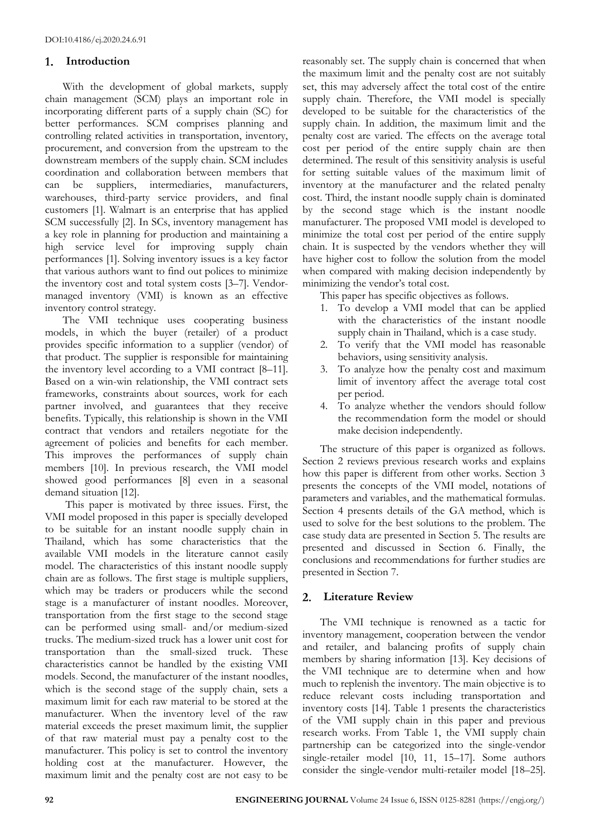## **Introduction**

With the development of global markets, supply chain management (SCM) plays an important role in incorporating different parts of a supply chain (SC) for better performances. SCM comprises planning and controlling related activities in transportation, inventory, procurement, and conversion from the upstream to the downstream members of the supply chain. SCM includes coordination and collaboration between members that can be suppliers, intermediaries, manufacturers, warehouses, third-party service providers, and final customers [1]. Walmart is an enterprise that has applied SCM successfully [2]. In SCs, inventory management has a key role in planning for production and maintaining a high service level for improving supply chain performances [1]. Solving inventory issues is a key factor that various authors want to find out polices to minimize the inventory cost and total system costs [3–7]. Vendormanaged inventory (VMI) is known as an effective inventory control strategy.

The VMI technique uses cooperating business models, in which the buyer (retailer) of a product provides specific information to a supplier (vendor) of that product. The supplier is responsible for maintaining the inventory level according to a VMI contract [8–11]. Based on a win-win relationship, the VMI contract sets frameworks, constraints about sources, work for each partner involved, and guarantees that they receive benefits. Typically, this relationship is shown in the VMI contract that vendors and retailers negotiate for the agreement of policies and benefits for each member. This improves the performances of supply chain members [10]. In previous research, the VMI model showed good performances [8] even in a seasonal demand situation [12].

This paper is motivated by three issues. First, the VMI model proposed in this paper is specially developed to be suitable for an instant noodle supply chain in Thailand, which has some characteristics that the available VMI models in the literature cannot easily model. The characteristics of this instant noodle supply chain are as follows. The first stage is multiple suppliers, which may be traders or producers while the second stage is a manufacturer of instant noodles. Moreover, transportation from the first stage to the second stage can be performed using small- and/or medium-sized trucks. The medium-sized truck has a lower unit cost for transportation than the small-sized truck. These characteristics cannot be handled by the existing VMI models. Second, the manufacturer of the instant noodles, which is the second stage of the supply chain, sets a maximum limit for each raw material to be stored at the manufacturer. When the inventory level of the raw material exceeds the preset maximum limit, the supplier of that raw material must pay a penalty cost to the manufacturer. This policy is set to control the inventory holding cost at the manufacturer. However, the maximum limit and the penalty cost are not easy to be

reasonably set. The supply chain is concerned that when the maximum limit and the penalty cost are not suitably set, this may adversely affect the total cost of the entire supply chain. Therefore, the VMI model is specially developed to be suitable for the characteristics of the supply chain. In addition, the maximum limit and the penalty cost are varied. The effects on the average total cost per period of the entire supply chain are then determined. The result of this sensitivity analysis is useful for setting suitable values of the maximum limit of inventory at the manufacturer and the related penalty cost. Third, the instant noodle supply chain is dominated by the second stage which is the instant noodle manufacturer. The proposed VMI model is developed to minimize the total cost per period of the entire supply chain. It is suspected by the vendors whether they will have higher cost to follow the solution from the model when compared with making decision independently by minimizing the vendor's total cost.

This paper has specific objectives as follows.

- 1. To develop a VMI model that can be applied with the characteristics of the instant noodle supply chain in Thailand, which is a case study.
- 2. To verify that the VMI model has reasonable behaviors, using sensitivity analysis.
- 3. To analyze how the penalty cost and maximum limit of inventory affect the average total cost per period.
- 4. To analyze whether the vendors should follow the recommendation form the model or should make decision independently.

The structure of this paper is organized as follows. Section 2 reviews previous research works and explains how this paper is different from other works. Section 3 presents the concepts of the VMI model, notations of parameters and variables, and the mathematical formulas. Section 4 presents details of the GA method, which is used to solve for the best solutions to the problem. The case study data are presented in Section 5. The results are presented and discussed in Section 6. Finally, the conclusions and recommendations for further studies are presented in Section 7.

## **Literature Review**

The VMI technique is renowned as a tactic for inventory management, cooperation between the vendor and retailer, and balancing profits of supply chain members by sharing information [13]. Key decisions of the VMI technique are to determine when and how much to replenish the inventory. The main objective is to reduce relevant costs including transportation and inventory costs [14]. Table 1 presents the characteristics of the VMI supply chain in this paper and previous research works. From Table 1, the VMI supply chain partnership can be categorized into the single-vendor single-retailer model [10, 11, 15-17]. Some authors consider the single-vendor multi-retailer model [18–25].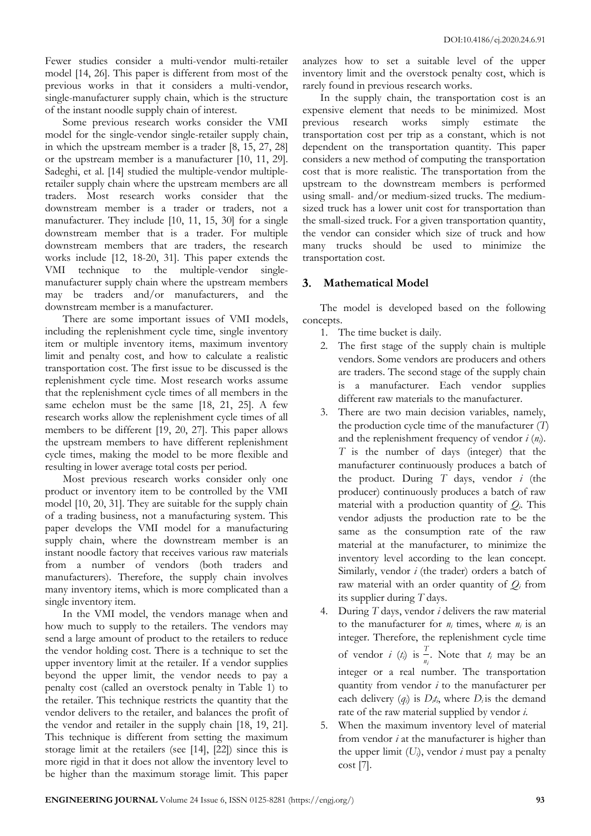Fewer studies consider a multi-vendor multi-retailer model [14, 26]. This paper is different from most of the previous works in that it considers a multi-vendor, single-manufacturer supply chain, which is the structure of the instant noodle supply chain of interest.

Some previous research works consider the VMI model for the single-vendor single-retailer supply chain, in which the upstream member is a trader [8, 15, 27, 28] or the upstream member is a manufacturer [10, 11, 29]. Sadeghi, et al. [14] studied the multiple-vendor multipleretailer supply chain where the upstream members are all traders. Most research works consider that the downstream member is a trader or traders, not a manufacturer. They include [10, 11, 15, 30] for a single downstream member that is a trader. For multiple downstream members that are traders, the research works include [12, 18-20, 31]. This paper extends the VMI technique to the multiple-vendor singlemanufacturer supply chain where the upstream members may be traders and/or manufacturers, and the downstream member is a manufacturer.

There are some important issues of VMI models, including the replenishment cycle time, single inventory item or multiple inventory items, maximum inventory limit and penalty cost, and how to calculate a realistic transportation cost. The first issue to be discussed is the replenishment cycle time. Most research works assume that the replenishment cycle times of all members in the same echelon must be the same [18, 21, 25]. A few research works allow the replenishment cycle times of all members to be different [19, 20, 27]. This paper allows the upstream members to have different replenishment cycle times, making the model to be more flexible and resulting in lower average total costs per period.

Most previous research works consider only one product or inventory item to be controlled by the VMI model [10, 20, 31]. They are suitable for the supply chain of a trading business, not a manufacturing system. This paper develops the VMI model for a manufacturing supply chain, where the downstream member is an instant noodle factory that receives various raw materials from a number of vendors (both traders and manufacturers). Therefore, the supply chain involves many inventory items, which is more complicated than a single inventory item.

In the VMI model, the vendors manage when and how much to supply to the retailers. The vendors may send a large amount of product to the retailers to reduce the vendor holding cost. There is a technique to set the upper inventory limit at the retailer. If a vendor supplies beyond the upper limit, the vendor needs to pay a penalty cost (called an overstock penalty in Table 1) to the retailer. This technique restricts the quantity that the vendor delivers to the retailer, and balances the profit of the vendor and retailer in the supply chain [18, 19, 21]. This technique is different from setting the maximum storage limit at the retailers (see [14], [22]) since this is more rigid in that it does not allow the inventory level to be higher than the maximum storage limit. This paper

analyzes how to set a suitable level of the upper inventory limit and the overstock penalty cost, which is rarely found in previous research works.

In the supply chain, the transportation cost is an expensive element that needs to be minimized. Most previous research works simply estimate the transportation cost per trip as a constant, which is not dependent on the transportation quantity. This paper considers a new method of computing the transportation cost that is more realistic. The transportation from the upstream to the downstream members is performed using small- and/or medium-sized trucks. The mediumsized truck has a lower unit cost for transportation than the small-sized truck. For a given transportation quantity, the vendor can consider which size of truck and how many trucks should be used to minimize the transportation cost.

## **Mathematical Model**

The model is developed based on the following concepts.

- 1. The time bucket is daily.
- 2. The first stage of the supply chain is multiple vendors. Some vendors are producers and others are traders. The second stage of the supply chain is a manufacturer. Each vendor supplies different raw materials to the manufacturer.
- 3. There are two main decision variables, namely, the production cycle time of the manufacturer (*T*) and the replenishment frequency of vendor *i* (*ni*). *T* is the number of days (integer) that the manufacturer continuously produces a batch of the product. During *T* days, vendor *i* (the producer) continuously produces a batch of raw material with a production quantity of  $Q_i$ . This vendor adjusts the production rate to be the same as the consumption rate of the raw material at the manufacturer, to minimize the inventory level according to the lean concept. Similarly, vendor *i* (the trader) orders a batch of raw material with an order quantity of  $Q_i$  from its supplier during *T* days.
- 4. During *T* days, vendor *i* delivers the raw material to the manufacturer for  $n_i$  times, where  $n_i$  is an integer. Therefore, the replenishment cycle time of vendor *i* (*t<sub>i</sub>*) is  $\frac{T}{n_i}$ . Note that *t<sub>i</sub>* may be an integer or a real number. The transportation quantity from vendor *i* to the manufacturer per each delivery  $(q_i)$  is  $D_i t_i$ , where  $D_i$  is the demand rate of the raw material supplied by vendor *i*.
- 5. When the maximum inventory level of material from vendor *i* at the manufacturer is higher than the upper limit  $(U_i)$ , vendor *i* must pay a penalty cost [7].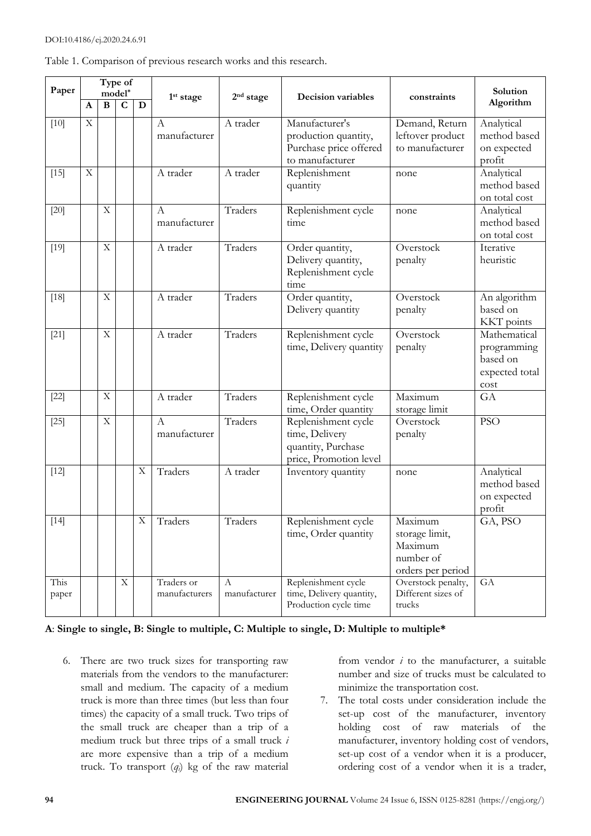#### DOI:10.4186/ej.2020.24.6.91

|  |  |  |  | Table 1. Comparison of previous research works and this research. |
|--|--|--|--|-------------------------------------------------------------------|
|  |  |  |  |                                                                   |

| Paper         |             |                           | Type of<br>$model*$ |                         |                                  |                       |                                                                                       |                                                                        | Solution                                                          |
|---------------|-------------|---------------------------|---------------------|-------------------------|----------------------------------|-----------------------|---------------------------------------------------------------------------------------|------------------------------------------------------------------------|-------------------------------------------------------------------|
|               | A           | $\bf{B}$                  | $\mathbf C$         | $\mathbf D$             | 1 <sup>st</sup> stage            | 2 <sup>nd</sup> stage | Decision variables                                                                    | constraints                                                            | Algorithm                                                         |
| $[10]$        | $\mathbf X$ |                           |                     |                         | $\boldsymbol{A}$<br>manufacturer | A trader              | Manufacturer's<br>production quantity,<br>Purchase price offered<br>to manufacturer   | Demand, Return<br>leftover product<br>to manufacturer                  | Analytical<br>method based<br>on expected<br>profit               |
| $[15]$        | $\mathbf X$ |                           |                     |                         | A trader                         | A trader              | Replenishment<br>quantity                                                             | none                                                                   | Analytical<br>method based<br>on total cost                       |
| $[20]$        |             | $\mathbf X$               |                     |                         | $\overline{A}$<br>manufacturer   | Traders               | Replenishment cycle<br>time                                                           | none                                                                   | Analytical<br>method based<br>on total cost                       |
| $[19]$        |             | $\mathbf X$               |                     |                         | A trader                         | Traders               | Order quantity,<br>Delivery quantity,<br>Replenishment cycle<br>time                  | Overstock<br>penalty                                                   | Iterative<br>heuristic                                            |
| $[18]$        |             | $\mathbf X$               |                     |                         | A trader                         | Traders               | Order quantity,<br>Delivery quantity                                                  | Overstock<br>penalty                                                   | An algorithm<br>based on<br>KKT points                            |
| $[21]$        |             | $\boldsymbol{\mathrm{X}}$ |                     |                         | A trader                         | Traders               | Replenishment cycle<br>time, Delivery quantity                                        | Overstock<br>penalty                                                   | Mathematical<br>programming<br>based on<br>expected total<br>cost |
| $[22]$        |             | $\mathbf X$               |                     |                         | A trader                         | Traders               | Replenishment cycle<br>time, Order quantity                                           | Maximum<br>storage limit                                               | GA                                                                |
| $[25]$        |             | $\mathbf X$               |                     |                         | $\mathbf{A}$<br>manufacturer     | Traders               | Replenishment cycle<br>time, Delivery<br>quantity, Purchase<br>price, Promotion level | Overstock<br>penalty                                                   | <b>PSO</b>                                                        |
| $[12]$        |             |                           |                     | X                       | Traders                          | A trader              | Inventory quantity                                                                    | none                                                                   | Analytical<br>method based<br>on expected<br>profit               |
| $[14]$        |             |                           |                     | $\overline{\mathbf{X}}$ | Traders                          | Traders               | Replenishment cycle<br>time, Order quantity                                           | Maximum<br>storage limit,<br>Maximum<br>number of<br>orders per period | GA, PSO                                                           |
| This<br>paper |             |                           | $\mathbf X$         |                         | Traders or<br>manufacturers      | А<br>manufacturer     | Replenishment cycle<br>time, Delivery quantity,<br>Production cycle time              | Overstock penalty,<br>Different sizes of<br>trucks                     | GA                                                                |

## **A**: **Single to single, B: Single to multiple, C: Multiple to single, D: Multiple to multiple\***

6. There are two truck sizes for transporting raw materials from the vendors to the manufacturer: small and medium. The capacity of a medium truck is more than three times (but less than four times) the capacity of a small truck. Two trips of the small truck are cheaper than a trip of a medium truck but three trips of a small truck *i* are more expensive than a trip of a medium truck. To transport (*qi*) kg of the raw material

from vendor *i* to the manufacturer, a suitable number and size of trucks must be calculated to minimize the transportation cost.

7. The total costs under consideration include the set-up cost of the manufacturer, inventory holding cost of raw materials of the manufacturer, inventory holding cost of vendors, set-up cost of a vendor when it is a producer, ordering cost of a vendor when it is a trader,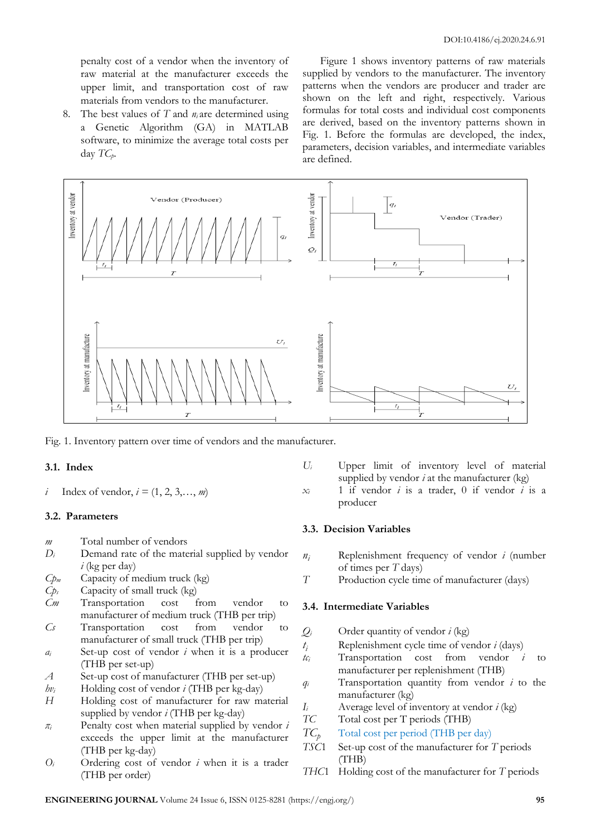penalty cost of a vendor when the inventory of raw material at the manufacturer exceeds the upper limit, and transportation cost of raw materials from vendors to the manufacturer.

8. The best values of *T* and *ni* are determined using a Genetic Algorithm (GA) in MATLAB software, to minimize the average total costs per day  $TC_p$ .

Figure 1 shows inventory patterns of raw materials supplied by vendors to the manufacturer. The inventory patterns when the vendors are producer and trader are shown on the left and right, respectively. Various formulas for total costs and individual cost components are derived, based on the inventory patterns shown in Fig. 1. Before the formulas are developed, the index, parameters, decision variables, and intermediate variables are defined.



Fig. 1. Inventory pattern over time of vendors and the manufacturer.

#### **3.1. Index**

*i* Index of vendor,  $i = (1, 2, 3, \ldots, m)$ 

#### **3.2. Parameters**

- *m* Total number of vendors
- $D_i$  Demand rate of the material supplied by vendor *i* (kg per day)
- *Cp<sup>m</sup>* Capacity of medium truck (kg)
- *Cp<sup>s</sup>* Capacity of small truck (kg)
- *Cm* Transportation cost from vendor to manufacturer of medium truck (THB per trip)
- *Cs* Transportation cost from vendor to manufacturer of small truck (THB per trip)
- *a<sup>i</sup>* Set-up cost of vendor *i* when it is a producer (THB per set-up)
- *A* Set-up cost of manufacturer (THB per set-up)
- *hv<sup>i</sup>* Holding cost of vendor *i* (THB per kg-day)
- *H* Holding cost of manufacturer for raw material supplied by vendor *i* (THB per kg-day)
- *π<sup>i</sup>* Penalty cost when material supplied by vendor *i* exceeds the upper limit at the manufacturer (THB per kg-day)
- *O<sup>i</sup>* Ordering cost of vendor *i* when it is a trader (THB per order)
- *U<sup>i</sup>* Upper limit of inventory level of material supplied by vendor  $i$  at the manufacturer  $(kg)$
- $x_i$  1 if vendor *i* is a trader, 0 if vendor *i* is a producer

#### **3.3. Decision Variables**

- *n<sup>i</sup>* Replenishment frequency of vendor *i* (number of times per *T* days)
- *T* Production cycle time of manufacturer (days)

#### **3.4. Intermediate Variables**

- $Q_i$  Order quantity of vendor *i* (kg)
- *t*  $t_i$  Replenishment cycle time of vendor *i* (days)<br> $t_i$  Transportation cost from vendor *i*
- Transportation cost from vendor *i* to manufacturer per replenishment (THB)
- *q<sup>i</sup>* Transportation quantity from vendor *i* to the manufacturer (kg)
- *I<sup>i</sup>* Average level of inventory at vendor *i* (kg)
- *TC* Total cost per T periods (THB)
- $TC<sub>n</sub>$ Total cost per period (THB per day)
- *TSC*1 Set-up cost of the manufacturer for *T* periods (THB)
- *THC*1 Holding cost of the manufacturer for *T* periods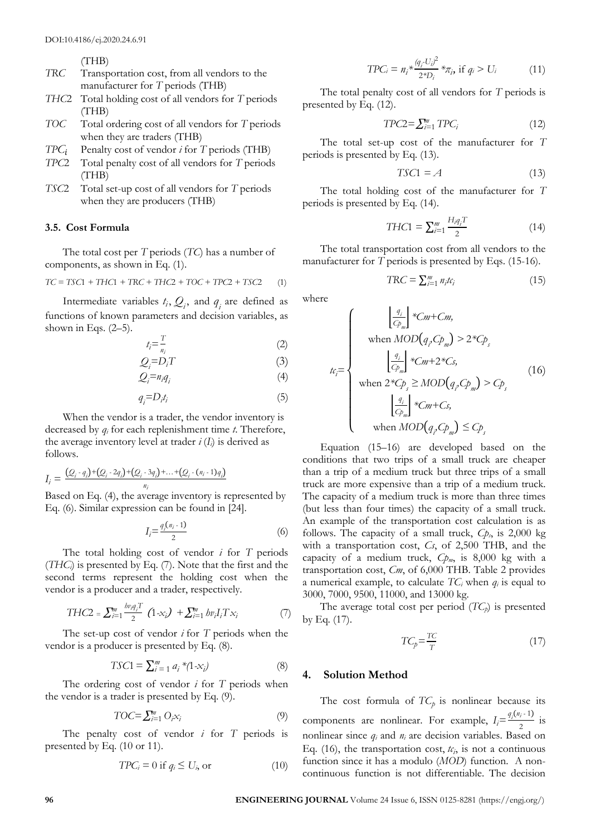(THB)

- *TRC* Transportation cost, from all vendors to the manufacturer for *T* periods (THB)
- *THC*2 Total holding cost of all vendors for *T* periods (THB)
- *TOC* Total ordering cost of all vendors for *T* periods when they are traders (THB)
- $TPC_i$  Penalty cost of vendor *i* for *T* periods (THB)
- *TPC*2 Total penalty cost of all vendors for *T* periods (THB)
- *TSC*2 Total set-up cost of all vendors for *T* periods when they are producers (THB)

#### **3.5. Cost Formula**

The total cost per *T* periods (*TC*) has a number of components, as shown in Eq. (1).

$$
TC = TSC1 + THC1 + TRC + THC2 + TOC + TPC2 + TSC2 \tag{1}
$$

Intermediate variables  $t_i$ ,  $Q_i$ , and  $q_i$  are defined as functions of known parameters and decision variables, as shown in Eqs.  $(2-5)$ .

$$
t_i = \frac{T}{n_i} \tag{2}
$$

$$
Q_i = D_i T \tag{3}
$$

$$
Q_i = n_i q_i \tag{4}
$$

$$
q_i = D_i t_i \tag{5}
$$

When the vendor is a trader, the vendor inventory is decreased by *q<sup>i</sup>* for each replenishment time *t*. Therefore, the average inventory level at trader  $i(I_i)$  is derived as follows.

$$
I_i = \frac{(Q_i - q_i) + (Q_i - 2q_i) + (Q_i - 3q_i) + \dots + (Q_i - (n_i - 1)q_i)}{n_i}
$$
  
Based on Eq. (4) the average inventory is represe

q. (4), the average inventory is represented by Eq. (6). Similar expression can be found in [24].

$$
I_i = \frac{q_i(n_i - 1)}{2} \tag{6}
$$

The total holding cost of vendor *i* for *T* periods (*THCi*) is presented by Eq. (7). Note that the first and the second terms represent the holding cost when the vendor is a producer and a trader, respectively.

$$
THC2 = \sum_{i=1}^{m} \frac{bv_i q_i T}{2} (1 - x_i) + \sum_{i=1}^{m} bv_i I_i T x_i
$$
 (7)

The set-up cost of vendor *i* for *T* periods when the vendor is a producer is presented by Eq. (8).

$$
TSC1 = \sum_{i=1}^{m} a_i * (1 - x_i)
$$
 (8)

The ordering cost of vendor *i* for *T* periods when the vendor is a trader is presented by Eq. (9).

$$
TOC = \sum_{i=1}^{m} O_i x_i \tag{9}
$$

The penalty cost of vendor *i* for *T* periods is presented by Eq. (10 or 11).

$$
TPC_i = 0 \text{ if } q_i \le U_i \text{ or } (10)
$$

$$
TPC_i = n_i \ast \frac{(q_i \cdot U_i)^2}{2 \ast D_i} \ast_{\pi_i} \text{ if } q_i > U_i \tag{11}
$$

The total penalty cost of all vendors for *T* periods is presented by Eq. (12).

$$
TPC2 = \sum_{i=1}^{m} TPC_i \tag{12}
$$

The total set-up cost of the manufacturer for *T* periods is presented by Eq. (13).

$$
TSC1 = A \tag{13}
$$

The total holding cost of the manufacturer for *T* periods is presented by Eq. (14).

$$
THC1 = \sum_{i=1}^{m} \frac{H_{i}q_{i}T}{2}
$$
 (14)

The total transportation cost from all vendors to the manufacturer for *T* periods is presented by Eqs. (15-16).

$$
TRC = \sum_{i=1}^{m} n_i t c_i \tag{15}
$$

where

$$
t_{ij} = \begin{cases} \frac{q_i}{C p_m} * Cm + Cm, \\ \text{when } MOD(q_i, C p_m) > 2 * C p_s \\ \frac{q_i}{C p_m} * Cm + 2 * C s, \\ \text{when } 2 * C p_s \ge MOD(q_i, C p_m) > C p_s \\ \frac{q_i}{C p_m} * Cm + C s, \\ \text{when } MOD(q_i, C p_m) \le C p_s \end{cases}
$$
(16)

Equation (15–16) are developed based on the conditions that two trips of a small truck are cheaper than a trip of a medium truck but three trips of a small truck are more expensive than a trip of a medium truck. The capacity of a medium truck is more than three times (but less than four times) the capacity of a small truck. An example of the transportation cost calculation is as follows. The capacity of a small truck,  $C_{p,s}$  is 2,000 kg with a transportation cost, *Cs*, of 2,500 THB, and the capacity of a medium truck, *Cpm*, is 8,000 kg with a transportation cost, *Cm*, of 6,000 THB. Table 2 provides a numerical example, to calculate  $TC_i$  when  $q_i$  is equal to 3000, 7000, 9500, 11000, and 13000 kg.

The average total cost per period (*TCp*) is presented by Eq. (17).

$$
TC_p = \frac{TC}{T}
$$
 (17)

#### **4. Solution Method**

The cost formula of  $TC_p$  is nonlinear because its components are nonlinear. For example,  $I_i = \frac{q_i(n_i-1)}{2}$  $\frac{1}{2}$  is nonlinear since *q<sup>i</sup>* and *n<sup>i</sup>* are decision variables. Based on Eq. (16), the transportation cost,  $t_{i}$ , is not a continuous function since it has a modulo (*MOD*) function. A noncontinuous function is not differentiable. The decision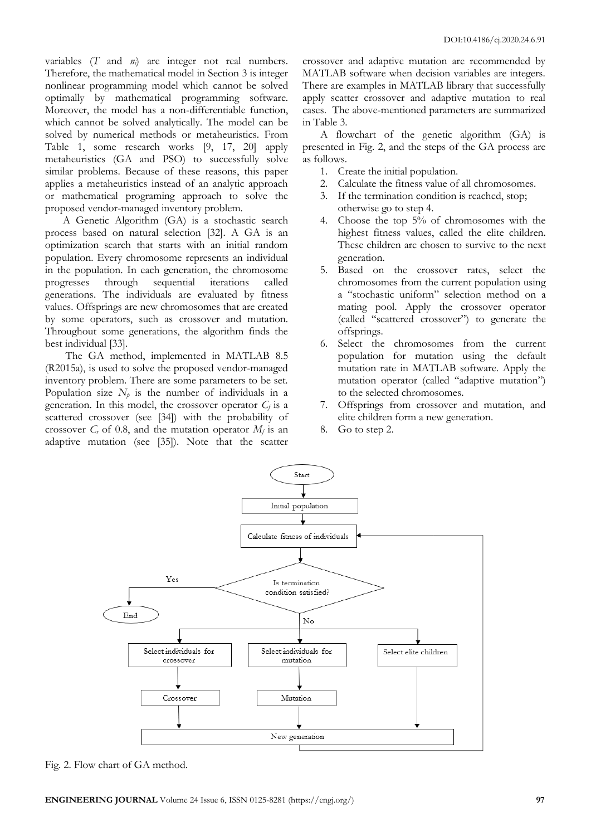variables (*T* and *ni*) are integer not real numbers. Therefore, the mathematical model in Section 3 is integer nonlinear programming model which cannot be solved optimally by mathematical programming software. Moreover, the model has a non-differentiable function, which cannot be solved analytically. The model can be solved by numerical methods or metaheuristics. From Table 1, some research works [9, 17, 20] apply metaheuristics (GA and PSO) to successfully solve similar problems. Because of these reasons, this paper applies a metaheuristics instead of an analytic approach or mathematical programing approach to solve the proposed vendor-managed inventory problem.

A Genetic Algorithm (GA) is a stochastic search process based on natural selection [32]. A GA is an optimization search that starts with an initial random population. Every chromosome represents an individual in the population. In each generation, the chromosome progresses through sequential iterations called generations. The individuals are evaluated by fitness values. Offsprings are new chromosomes that are created by some operators, such as crossover and mutation. Throughout some generations, the algorithm finds the best individual [33].

The GA method, implemented in MATLAB 8.5 (R2015a), is used to solve the proposed vendor-managed inventory problem. There are some parameters to be set. Population size  $N_p$  is the number of individuals in a generation. In this model, the crossover operator  $C_f$  is a scattered crossover (see [34]) with the probability of crossover  $C_r$  of 0.8, and the mutation operator  $M_f$  is an adaptive mutation (see [35]). Note that the scatter

crossover and adaptive mutation are recommended by MATLAB software when decision variables are integers. There are examples in MATLAB library that successfully apply scatter crossover and adaptive mutation to real cases. The above-mentioned parameters are summarized in Table 3.

A flowchart of the genetic algorithm (GA) is presented in Fig. 2, and the steps of the GA process are as follows.

- 1. Create the initial population.
- 2. Calculate the fitness value of all chromosomes.
- 3. If the termination condition is reached, stop; otherwise go to step 4.
- 4. Choose the top 5% of chromosomes with the highest fitness values, called the elite children. These children are chosen to survive to the next generation.
- 5. Based on the crossover rates, select the chromosomes from the current population using a "stochastic uniform" selection method on a mating pool. Apply the crossover operator (called "scattered crossover") to generate the offsprings.
- 6. Select the chromosomes from the current population for mutation using the default mutation rate in MATLAB software. Apply the mutation operator (called "adaptive mutation") to the selected chromosomes.
- 7. Offsprings from crossover and mutation, and elite children form a new generation.
- 8. Go to step 2.



Fig. 2. Flow chart of GA method.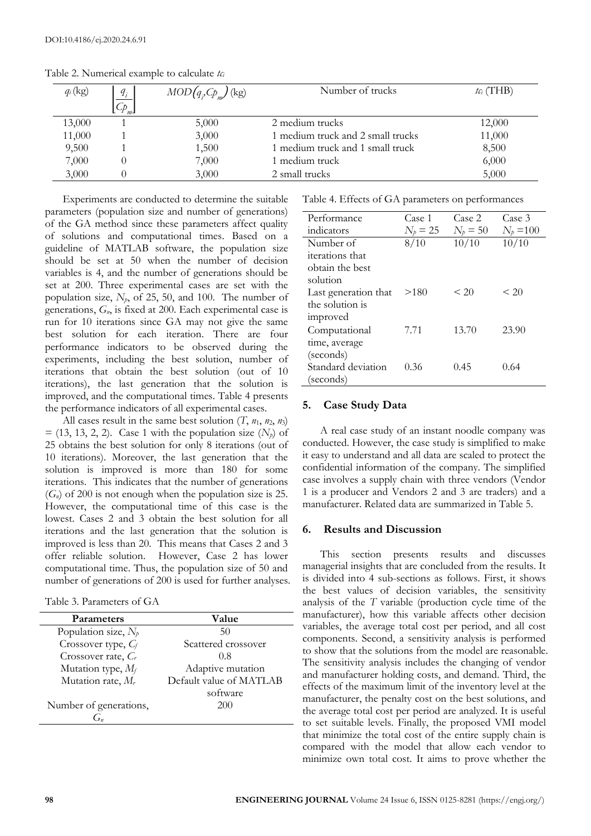| $q_i$ (kg) | $q_i$<br>$\mathcal{C}_{p_{m-1}}$ | $MOD(q,\mathcal{C}p_m)(kg)$ | Number of trucks                  | $tc_i$ (THB) |
|------------|----------------------------------|-----------------------------|-----------------------------------|--------------|
| 13,000     |                                  | 5,000                       | 2 medium trucks                   | 12,000       |
| 11,000     |                                  | 3,000                       | 1 medium truck and 2 small trucks | 11,000       |
| 9,500      |                                  | 1,500                       | 1 medium truck and 1 small truck  | 8,500        |
| 7,000      |                                  | 7,000                       | l medium truck                    | 6,000        |
| 3,000      |                                  | 3,000                       | 2 small trucks                    | 5,000        |

Table 2. Numerical example to calculate *tc<sup>i</sup>*

Experiments are conducted to determine the suitable parameters (population size and number of generations) of the GA method since these parameters affect quality of solutions and computational times. Based on a guideline of MATLAB software, the population size should be set at 50 when the number of decision variables is 4, and the number of generations should be set at 200. Three experimental cases are set with the population size, *Np*, of 25, 50, and 100. The number of generations, *Gn*, is fixed at 200. Each experimental case is run for 10 iterations since GA may not give the same best solution for each iteration. There are four performance indicators to be observed during the experiments, including the best solution, number of iterations that obtain the best solution (out of 10 iterations), the last generation that the solution is improved, and the computational times. Table 4 presents the performance indicators of all experimental cases.

All cases result in the same best solution  $(T, n_1, n_2, n_3)$  $=$  (13, 13, 2, 2). Case 1 with the population size  $(N_p)$  of 25 obtains the best solution for only 8 iterations (out of 10 iterations). Moreover, the last generation that the solution is improved is more than 180 for some iterations. This indicates that the number of generations  $(G_n)$  of 200 is not enough when the population size is 25. However, the computational time of this case is the lowest. Cases 2 and 3 obtain the best solution for all iterations and the last generation that the solution is improved is less than 20. This means that Cases 2 and 3 offer reliable solution. However, Case 2 has lower computational time. Thus, the population size of 50 and number of generations of 200 is used for further analyses.

Table 3. Parameters of GA

| <b>Parameters</b>      | Value                   |
|------------------------|-------------------------|
| Population size, $N_p$ | 50                      |
| Crossover type, $C_f$  | Scattered crossover     |
| Crossover rate, Cr     | 0.8                     |
| Mutation type, $M_f$   | Adaptive mutation       |
| Mutation rate, Mr      | Default value of MATLAB |
|                        | software                |
| Number of generations, | 200                     |
|                        |                         |

Table 4. Effects of GA parameters on performances

| Performance            | Case 1       | Case 2     | Case 3         |
|------------------------|--------------|------------|----------------|
| indicators             | $N_{b}$ = 25 | $N_b = 50$ | $N_b = 100$    |
| Number of              | 8/10         | 10/10      | 10/10          |
| <i>iterations</i> that |              |            |                |
| obtain the best        |              |            |                |
| solution               |              |            |                |
| Last generation that   | >180         | < 20       | ${}_{\leq 20}$ |
| the solution is        |              |            |                |
| improved               |              |            |                |
| Computational          | 7.71         | 13.70      | 23.90          |
| time, average          |              |            |                |
| (seconds)              |              |            |                |
| Standard deviation     | 0.36         | 0.45       | 0.64           |
| (seconds)              |              |            |                |

#### **5. Case Study Data**

A real case study of an instant noodle company was conducted. However, the case study is simplified to make it easy to understand and all data are scaled to protect the confidential information of the company. The simplified case involves a supply chain with three vendors (Vendor 1 is a producer and Vendors 2 and 3 are traders) and a manufacturer. Related data are summarized in Table 5.

#### **6. Results and Discussion**

This section presents results and discusses managerial insights that are concluded from the results. It is divided into 4 sub-sections as follows. First, it shows the best values of decision variables, the sensitivity analysis of the *T* variable (production cycle time of the manufacturer), how this variable affects other decision variables, the average total cost per period, and all cost components. Second, a sensitivity analysis is performed to show that the solutions from the model are reasonable. The sensitivity analysis includes the changing of vendor and manufacturer holding costs, and demand. Third, the effects of the maximum limit of the inventory level at the manufacturer, the penalty cost on the best solutions, and the average total cost per period are analyzed. It is useful to set suitable levels. Finally, the proposed VMI model that minimize the total cost of the entire supply chain is compared with the model that allow each vendor to minimize own total cost. It aims to prove whether the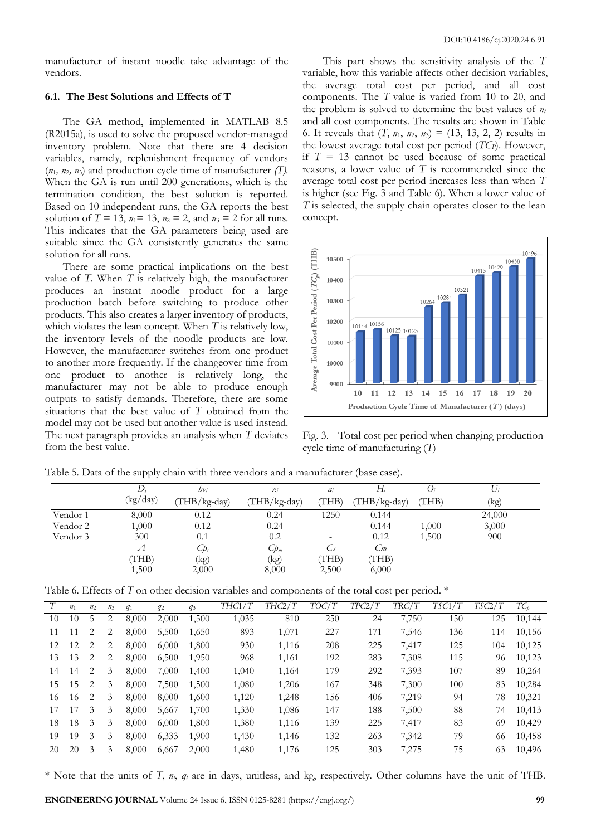manufacturer of instant noodle take advantage of the vendors.

#### **6.1. The Best Solutions and Effects of T**

The GA method, implemented in MATLAB 8.5 (R2015a), is used to solve the proposed vendor-managed inventory problem. Note that there are 4 decision variables, namely, replenishment frequency of vendors  $(n_1, n_2, n_3)$  and production cycle time of manufacturer *(T)*. When the GA is run until 200 generations, which is the termination condition, the best solution is reported. Based on 10 independent runs, the GA reports the best solution of  $T = 13$ ,  $n_1 = 13$ ,  $n_2 = 2$ , and  $n_3 = 2$  for all runs. This indicates that the GA parameters being used are suitable since the GA consistently generates the same solution for all runs.

There are some practical implications on the best value of *T*. When *T* is relatively high, the manufacturer produces an instant noodle product for a large production batch before switching to produce other products. This also creates a larger inventory of products, which violates the lean concept. When *T* is relatively low, the inventory levels of the noodle products are low. However, the manufacturer switches from one product to another more frequently. If the changeover time from one product to another is relatively long, the manufacturer may not be able to produce enough outputs to satisfy demands. Therefore, there are some situations that the best value of *T* obtained from the model may not be used but another value is used instead. The next paragraph provides an analysis when *T* deviates from the best value.

This part shows the sensitivity analysis of the *T*  variable, how this variable affects other decision variables, the average total cost per period, and all cost components. The *T* value is varied from 10 to 20, and the problem is solved to determine the best values of *n<sup>i</sup>* and all cost components. The results are shown in Table 6. It reveals that  $(T, n_1, n_2, n_3) = (13, 13, 2, 2)$  results in the lowest average total cost per period (*TCP*). However, if  $T = 13$  cannot be used because of some practical reasons, a lower value of *T* is recommended since the average total cost per period increases less than when *T*  is higher (see Fig. 3 and Table 6). When a lower value of *T* is selected, the supply chain operates closer to the lean concept.



Fig. 3. Total cost per period when changing production cycle time of manufacturing (*T*)

|          | .        |                     |                |       |                |                          |        |
|----------|----------|---------------------|----------------|-------|----------------|--------------------------|--------|
|          | D.       | $hv_i$              | $\pi_i$        | $a_i$ | H,             |                          | $U_i$  |
|          | (kg/day) | $(THB/kg-day)$      | $(THB/kg-day)$ | (THB) | $(THB/kg-day)$ | (THB)                    | (kg)   |
| Vendor 1 | 8,000    | 0.12                | 0.24           | 1250  | 0.144          | $\overline{\phantom{0}}$ | 24,000 |
| Vendor 2 | 1,000    | 0.12                | 0.24           | -     | 0.144          | 1,000                    | 3,000  |
| Vendor 3 | 300      | 0.1                 | 0.2            |       | 0.12           | 1,500                    | 900    |
|          | Α        | $C_{\mathcal{D}_s}$ | $Cp_m$         | Ċs    | Cm             |                          |        |
|          | (THB)    | (kg)                | (kg)           | THB)  | THB)           |                          |        |
|          | 1,500    | 2,000               | 8,000          | 2,500 | 6,000          |                          |        |

Table 5. Data of the supply chain with three vendors and a manufacturer (base case).

Table 6. Effects of *T* on other decision variables and components of the total cost per period. \*

|    | n <sub>1</sub> | n <sub>2</sub> | $n_3$ | $q_1$ | $q_2$ | $q_3$ | THC1/T | THC2/T | TOC/T | TPC2/T | TRC/T | TSC1/T | TSC2/T | $TC_{h}$ |
|----|----------------|----------------|-------|-------|-------|-------|--------|--------|-------|--------|-------|--------|--------|----------|
| 10 | 10             | 5              | 2     | 8,000 | 2,000 | 1,500 | 1,035  | 810    | 250   | 24     | 7,750 | 150    | 125    | 10,144   |
| 11 | 11             | 2              | 2     | 8,000 | 5,500 | 1,650 | 893    | 1,071  | 227   | 171    | 7,546 | 136    | 114    | 10,156   |
| 12 | 12             | 2              | 2     | 8,000 | 6,000 | 1,800 | 930    | 1,116  | 208   | 225    | 7.417 | 125    | 104    | 10,125   |
| 13 | 13             | 2              | 2     | 8,000 | 6,500 | 1,950 | 968    | 1,161  | 192   | 283    | 7,308 | 115    | 96     | 10,123   |
| 14 | 14             | 2              | 3     | 8,000 | 7,000 | 1,400 | 1,040  | 1,164  | 179   | 292    | 7,393 | 107    | 89     | 10,264   |
| 15 | 15             | 2              | 3     | 8,000 | 7,500 | 1,500 | 1,080  | 1,206  | 167   | 348    | 7,300 | 100    | 83     | 10,284   |
| 16 | 16             | 2              | 3     | 8,000 | 8,000 | 1,600 | 1,120  | 1,248  | 156   | 406    | 7,219 | 94     | 78     | 10,321   |
| 17 | 17             | 3              | 3     | 8,000 | 5,667 | 1,700 | 1,330  | 1,086  | 147   | 188    | 7,500 | 88     | 74     | 10,413   |
| 18 | 18             | 3              | 3     | 8,000 | 6,000 | 1,800 | 1,380  | 1,116  | 139   | 225    | 7,417 | 83     | 69     | 10,429   |
| 19 | 19             | 3              | 3     | 8,000 | 6,333 | 1,900 | 1,430  | 1,146  | 132   | 263    | 7,342 | 79     | 66     | 10,458   |
| 20 | 20             | 3              | 3     | 8,000 | 6,667 | 2,000 | 1,480  | 1,176  | 125   | 303    | 7,275 | 75     | 63     | 10,496   |

\* Note that the units of *T*, *ni*, *q<sup>i</sup>* are in days, unitless, and kg, respectively. Other columns have the unit of THB.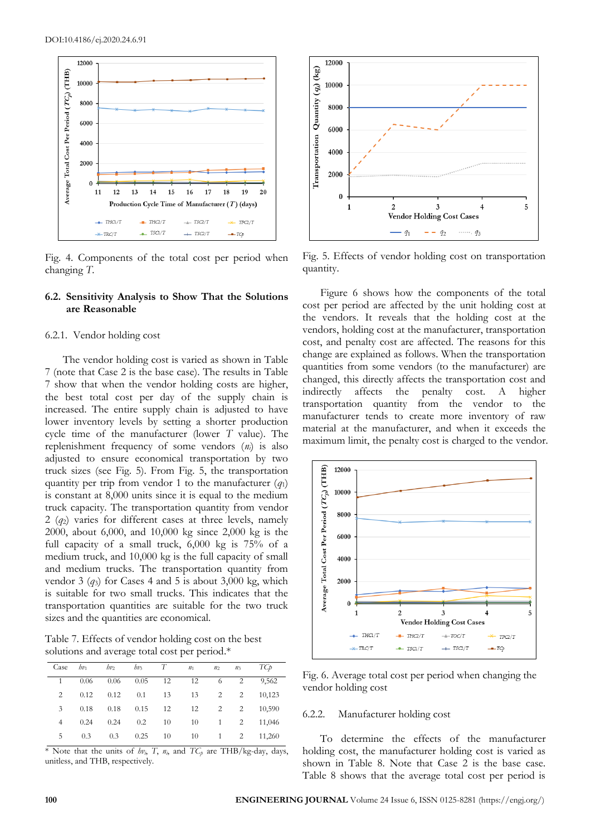

Fig. 4. Components of the total cost per period when changing *T.*

#### **6.2. Sensitivity Analysis to Show That the Solutions are Reasonable**

#### 6.2.1. Vendor holding cost

The vendor holding cost is varied as shown in Table 7 (note that Case 2 is the base case). The results in Table 7 show that when the vendor holding costs are higher, the best total cost per day of the supply chain is increased. The entire supply chain is adjusted to have lower inventory levels by setting a shorter production cycle time of the manufacturer (lower *T* value). The replenishment frequency of some vendors (*ni*) is also adjusted to ensure economical transportation by two truck sizes (see Fig. 5). From Fig. 5, the transportation quantity per trip from vendor 1 to the manufacturer  $(q_1)$ is constant at 8,000 units since it is equal to the medium truck capacity. The transportation quantity from vendor 2 (*q*2) varies for different cases at three levels, namely 2000, about 6,000, and 10,000 kg since 2,000 kg is the full capacity of a small truck, 6,000 kg is 75% of a medium truck, and 10,000 kg is the full capacity of small and medium trucks. The transportation quantity from vendor 3 (*q*3) for Cases 4 and 5 is about 3,000 kg, which is suitable for two small trucks. This indicates that the transportation quantities are suitable for the two truck sizes and the quantities are economical.

Table 7. Effects of vendor holding cost on the best solutions and average total cost per period.\*

| Case           | bv   | $hv_2$ | $hv_3$ | T  | n <sub>1</sub> | n <sub>2</sub> | n <sub>3</sub> | TСp    |
|----------------|------|--------|--------|----|----------------|----------------|----------------|--------|
|                | 0.06 | 0.06   | 0.05   | 12 | 12             | 6              | 2              | 9,562  |
| 2              | 0.12 | 0.12   | 0.1    | 13 | 13             | 2              | 2              | 10.123 |
| 3              | 0.18 | 0.18   | 0.15   | 12 | 12             | 2              | 2              | 10,590 |
| $\overline{4}$ | 0.24 | 0.24   | 0.2    | 10 | 10             | 1              | 2              | 11,046 |
| 5              | 0.3  | 0.3    | 0.25   | 10 | 10             | 1              | 2              | 11,260 |

\* Note that the units of  $hv_i$ , *T*,  $n_i$ , and  $TC_p$  are THB/kg-day, days, unitless, and THB, respectively.



Fig. 5. Effects of vendor holding cost on transportation quantity.

Figure 6 shows how the components of the total cost per period are affected by the unit holding cost at the vendors. It reveals that the holding cost at the vendors, holding cost at the manufacturer, transportation cost, and penalty cost are affected. The reasons for this change are explained as follows. When the transportation quantities from some vendors (to the manufacturer) are changed, this directly affects the transportation cost and indirectly affects the penalty cost. A higher transportation quantity from the vendor to the manufacturer tends to create more inventory of raw material at the manufacturer, and when it exceeds the maximum limit, the penalty cost is charged to the vendor.



Fig. 6. Average total cost per period when changing the vendor holding cost

#### 6.2.2. Manufacturer holding cost

To determine the effects of the manufacturer holding cost, the manufacturer holding cost is varied as shown in Table 8. Note that Case 2 is the base case. Table 8 shows that the average total cost per period is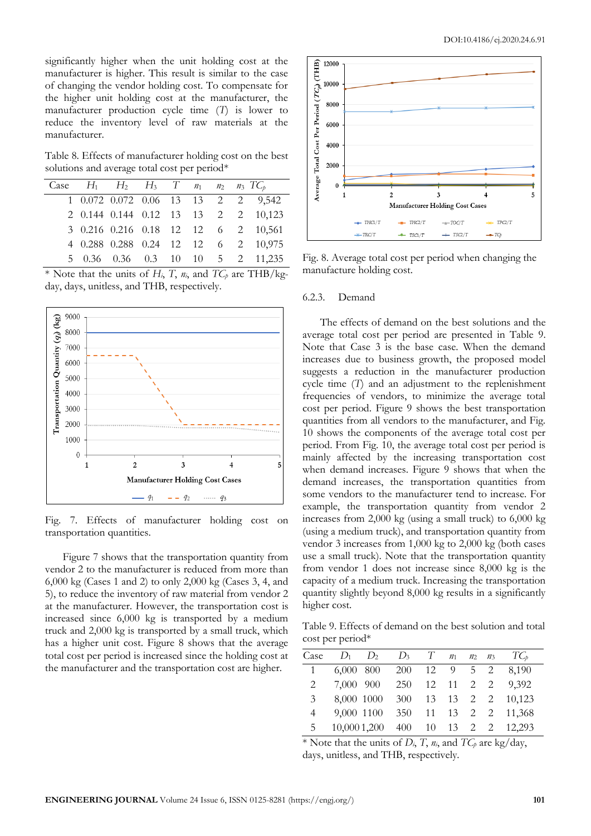significantly higher when the unit holding cost at the manufacturer is higher. This result is similar to the case of changing the vendor holding cost. To compensate for the higher unit holding cost at the manufacturer, the manufacturer production cycle time (*T*) is lower to reduce the inventory level of raw materials at the manufacturer.

Table 8. Effects of manufacturer holding cost on the best solutions and average total cost per period\*

|  | Case $H_1$ $H_2$ $H_3$ $T$ $n_1$ $n_2$ $n_3$ $TC_p$ |  |  |                                     |
|--|-----------------------------------------------------|--|--|-------------------------------------|
|  |                                                     |  |  | 1 0.072 0.072 0.06 13 13 2 2 9,542  |
|  |                                                     |  |  | 2 0.144 0.144 0.12 13 13 2 2 10,123 |
|  |                                                     |  |  | 3 0.216 0.216 0.18 12 12 6 2 10,561 |
|  |                                                     |  |  | 4 0.288 0.288 0.24 12 12 6 2 10,975 |
|  |                                                     |  |  | 5 0.36 0.36 0.3 10 10 5 2 11,235    |

\* Note that the units of  $H_i$ , *T*,  $n_i$ , and  $TC_p$  are THB/kgday, days, unitless, and THB, respectively.



Fig. 7. Effects of manufacturer holding cost on transportation quantities.

Figure 7 shows that the transportation quantity from vendor 2 to the manufacturer is reduced from more than 6,000 kg (Cases 1 and 2) to only 2,000 kg (Cases 3, 4, and 5), to reduce the inventory of raw material from vendor 2 at the manufacturer. However, the transportation cost is increased since 6,000 kg is transported by a medium truck and 2,000 kg is transported by a small truck, which has a higher unit cost. Figure 8 shows that the average total cost per period is increased since the holding cost at the manufacturer and the transportation cost are higher.



Fig. 8. Average total cost per period when changing the manufacture holding cost.

#### 6.2.3. Demand

The effects of demand on the best solutions and the average total cost per period are presented in Table 9. Note that Case 3 is the base case. When the demand increases due to business growth, the proposed model suggests a reduction in the manufacturer production cycle time (*T*) and an adjustment to the replenishment frequencies of vendors, to minimize the average total cost per period. Figure 9 shows the best transportation quantities from all vendors to the manufacturer, and Fig. 10 shows the components of the average total cost per period. From Fig. 10, the average total cost per period is mainly affected by the increasing transportation cost when demand increases. Figure 9 shows that when the demand increases, the transportation quantities from some vendors to the manufacturer tend to increase. For example, the transportation quantity from vendor 2 increases from 2,000 kg (using a small truck) to 6,000 kg (using a medium truck), and transportation quantity from vendor 3 increases from 1,000 kg to 2,000 kg (both cases use a small truck). Note that the transportation quantity from vendor 1 does not increase since 8,000 kg is the capacity of a medium truck. Increasing the transportation quantity slightly beyond 8,000 kg results in a significantly higher cost.

Table 9. Effects of demand on the best solution and total cost per period\*

| Case           |                                     | $D_1$ $D_2$ $D_3$ $T$ $n_1$ $n_2$ $n_3$ $TC_p$ |  |  |  |
|----------------|-------------------------------------|------------------------------------------------|--|--|--|
| $\overline{1}$ | 6,000 800 200 12 9 5 2 8,190        |                                                |  |  |  |
| 2              | 7,000 900 250 12 11 2 2 9,392       |                                                |  |  |  |
| $\mathcal{E}$  | 8,000 1000 300 13 13 2 2 10,123     |                                                |  |  |  |
| $4 \quad$      | 9,000 1100 350 11 13 2 2 11,368     |                                                |  |  |  |
|                | 5 10,000 1,200 400 10 13 2 2 12,293 |                                                |  |  |  |

\* Note that the units of  $D_i$ ,  $T$ ,  $n_i$ , and  $TC_p$  are kg/day, days, unitless, and THB, respectively.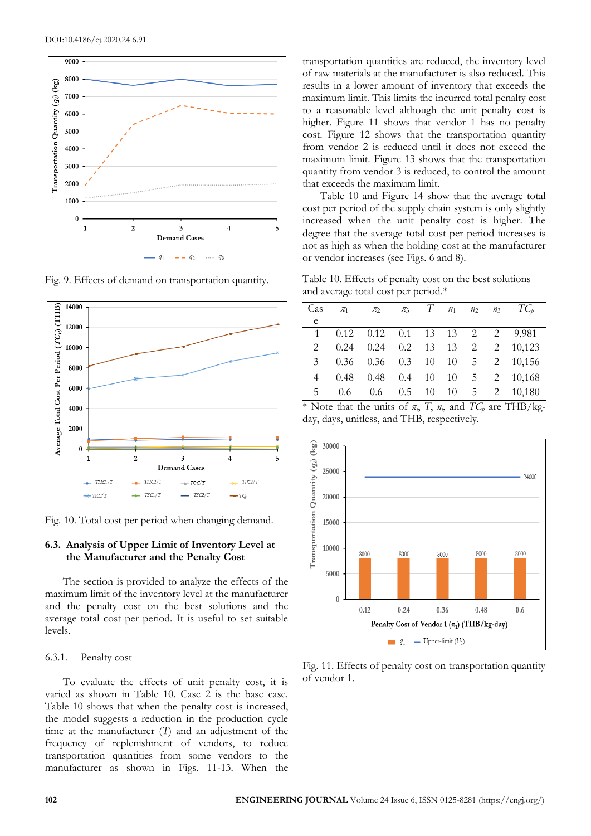

Fig. 9. Effects of demand on transportation quantity.



Fig. 10. Total cost per period when changing demand.

## **6.3. Analysis of Upper Limit of Inventory Level at the Manufacturer and the Penalty Cost**

The section is provided to analyze the effects of the maximum limit of the inventory level at the manufacturer and the penalty cost on the best solutions and the average total cost per period. It is useful to set suitable levels.

#### 6.3.1. Penalty cost

To evaluate the effects of unit penalty cost, it is varied as shown in Table 10. Case 2 is the base case. Table 10 shows that when the penalty cost is increased, the model suggests a reduction in the production cycle time at the manufacturer (*T*) and an adjustment of the frequency of replenishment of vendors, to reduce transportation quantities from some vendors to the manufacturer as shown in Figs. 11-13. When the

transportation quantities are reduced, the inventory level of raw materials at the manufacturer is also reduced. This results in a lower amount of inventory that exceeds the maximum limit. This limits the incurred total penalty cost to a reasonable level although the unit penalty cost is higher. Figure 11 shows that vendor 1 has no penalty cost. Figure 12 shows that the transportation quantity from vendor 2 is reduced until it does not exceed the maximum limit. Figure 13 shows that the transportation quantity from vendor 3 is reduced, to control the amount that exceeds the maximum limit.

Table 10 and Figure 14 show that the average total cost per period of the supply chain system is only slightly increased when the unit penalty cost is higher. The degree that the average total cost per period increases is not as high as when the holding cost at the manufacturer or vendor increases (see Figs. 6 and 8).

Table 10. Effects of penalty cost on the best solutions and average total cost per period.\*

| Cas            | $\pi_1$ $\pi_2$ $\pi_3$ T $n_1$ $n_2$ $n_3$ TC <sub>p</sub> |  |  |                                              |
|----------------|-------------------------------------------------------------|--|--|----------------------------------------------|
| e              |                                                             |  |  |                                              |
| 1              | $0.12$ $0.12$ $0.1$ $13$ $13$ $2$ $2$ $9,981$               |  |  |                                              |
|                |                                                             |  |  | 2 0.24 0.24 0.2 13 13 2 2 10,123             |
|                |                                                             |  |  | 3 0.36 0.36 0.3 10 10 5 2 10,156             |
|                |                                                             |  |  | 4 0.48 0.48 0.4 10 10 5 2 10,168             |
| 5 <sub>5</sub> |                                                             |  |  | $0.6$ $0.6$ $0.5$ $10$ $10$ $5$ $2$ $10,180$ |

\* Note that the units of  $\pi$ *i*, *T*,  $n$ *i*, and  $TC$ *p* are THB/kgday, days, unitless, and THB, respectively.



Fig. 11. Effects of penalty cost on transportation quantity of vendor 1.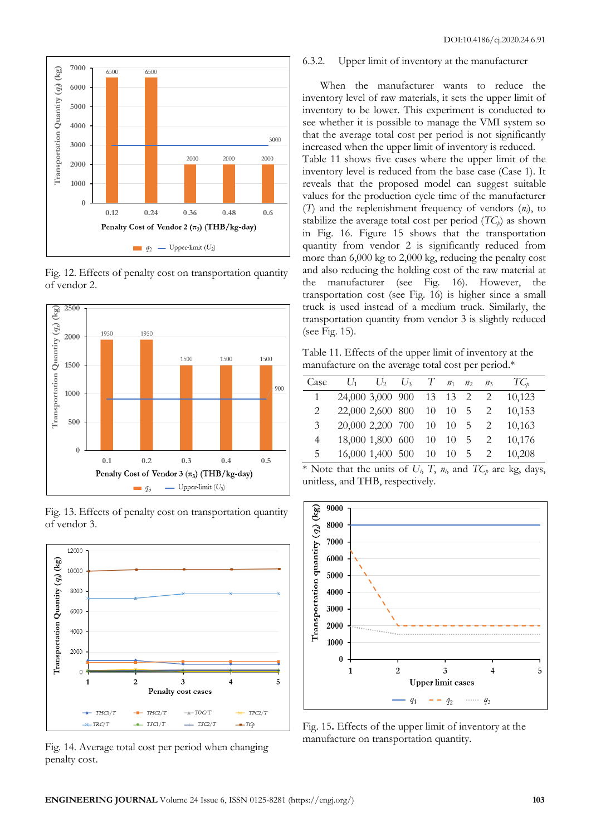

Fig. 12. Effects of penalty cost on transportation quantity of vendor 2.



Fig. 13. Effects of penalty cost on transportation quantity of vendor 3.



Fig. 14. Average total cost per period when changing penalty cost.

#### 6.3.2. Upper limit of inventory at the manufacturer

When the manufacturer wants to reduce the inventory level of raw materials, it sets the upper limit of inventory to be lower. This experiment is conducted to see whether it is possible to manage the VMI system so that the average total cost per period is not significantly increased when the upper limit of inventory is reduced. Table 11 shows five cases where the upper limit of the inventory level is reduced from the base case (Case 1). It reveals that the proposed model can suggest suitable values for the production cycle time of the manufacturer (*T*) and the replenishment frequency of vendors (*ni*), to stabilize the average total cost per period  $(TC_p)$  as shown in Fig. 16. Figure 15 shows that the transportation quantity from vendor 2 is significantly reduced from more than 6,000 kg to 2,000 kg, reducing the penalty cost and also reducing the holding cost of the raw material at the manufacturer (see Fig. 16). However, the transportation cost (see Fig. 16) is higher since a small truck is used instead of a medium truck. Similarly, the transportation quantity from vendor 3 is slightly reduced (see Fig. 15).

Table 11. Effects of the upper limit of inventory at the manufacture on the average total cost per period.\*

| Case          |                                          | $U_1$ $U_2$ $U_3$ $T$ $n_1$ $n_2$ $n_3$ |  |  | $TC_{p}$                          |
|---------------|------------------------------------------|-----------------------------------------|--|--|-----------------------------------|
|               | 24,000 3,000 900 13 13 2 2               |                                         |  |  | 10.123                            |
| 2             |                                          |                                         |  |  | 22,000 2,600 800 10 10 5 2 10,153 |
| $\mathcal{E}$ |                                          |                                         |  |  | 20,000 2,200 700 10 10 5 2 10,163 |
| 4             | 18,000 1,800 600 10 10 5 2               |                                         |  |  | 10.176                            |
| 5.            | $16,000$ $1,400$ $500$ $10$ $10$ $5$ $2$ |                                         |  |  | 10.208                            |

\* Note that the units of  $U_i$ ,  $T$ ,  $n_i$ , and  $TC_p$  are kg, days, unitless, and THB, respectively.



Fig. 15**.** Effects of the upper limit of inventory at the manufacture on transportation quantity.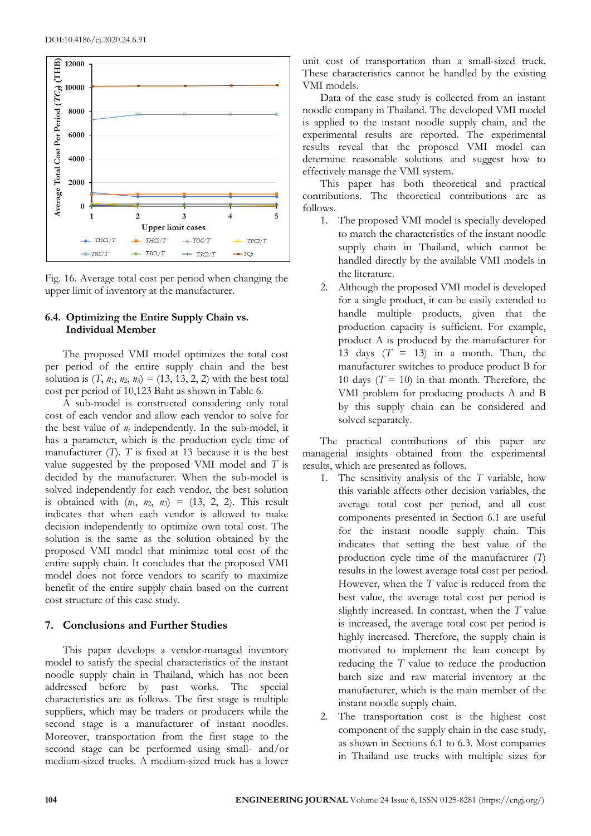



#### **6.4. Optimizing the Entire Supply Chain vs. Individual Member**

The proposed VMI model optimizes the total cost per period of the entire supply chain and the best solution is  $(T, n_1, n_2, n_3) = (13, 13, 2, 2)$  with the best total cost per period of 10,123 Baht as shown in Table 6.

A sub-model is constructed considering only total cost of each vendor and allow each vendor to solve for the best value of *n<sup>i</sup>* independently. In the sub-model, it has a parameter, which is the production cycle time of manufacturer (*T*). *T* is fixed at 13 because it is the best value suggested by the proposed VMI model and *T* is decided by the manufacturer. When the sub-model is solved independently for each vendor, the best solution is obtained with  $(n_1, n_2, n_3) = (13, 2, 2)$ . This result indicates that when each vendor is allowed to make decision independently to optimize own total cost. The solution is the same as the solution obtained by the proposed VMI model that minimize total cost of the entire supply chain. It concludes that the proposed VMI model does not force vendors to scarify to maximize benefit of the entire supply chain based on the current cost structure of this case study.

## **7. Conclusions and Further Studies**

This paper develops a vendor-managed inventory model to satisfy the special characteristics of the instant noodle supply chain in Thailand, which has not been addressed before by past works. The special characteristics are as follows. The first stage is multiple suppliers, which may be traders or producers while the second stage is a manufacturer of instant noodles. Moreover, transportation from the first stage to the second stage can be performed using small- and/or medium-sized trucks. A medium-sized truck has a lower

unit cost of transportation than a small-sized truck. These characteristics cannot be handled by the existing VMI models.

Data of the case study is collected from an instant noodle company in Thailand. The developed VMI model is applied to the instant noodle supply chain, and the experimental results are reported. The experimental results reveal that the proposed VMI model can determine reasonable solutions and suggest how to effectively manage the VMI system.

This paper has both theoretical and practical contributions. The theoretical contributions are as follows.

- 1. The proposed VMI model is specially developed to match the characteristics of the instant noodle supply chain in Thailand, which cannot be handled directly by the available VMI models in the literature.
- 2. Although the proposed VMI model is developed for a single product, it can be easily extended to handle multiple products, given that the production capacity is sufficient. For example, product A is produced by the manufacturer for 13 days  $(T = 13)$  in a month. Then, the manufacturer switches to produce product B for 10 days  $(T = 10)$  in that month. Therefore, the VMI problem for producing products A and B by this supply chain can be considered and solved separately.

The practical contributions of this paper are managerial insights obtained from the experimental results, which are presented as follows.

- 1. The sensitivity analysis of the *T* variable, how this variable affects other decision variables, the average total cost per period, and all cost components presented in Section 6.1 are useful for the instant noodle supply chain. This indicates that setting the best value of the production cycle time of the manufacturer (*T*) results in the lowest average total cost per period. However, when the *T* value is reduced from the best value, the average total cost per period is slightly increased. In contrast, when the *T* value is increased, the average total cost per period is highly increased. Therefore, the supply chain is motivated to implement the lean concept by reducing the *T* value to reduce the production batch size and raw material inventory at the manufacturer, which is the main member of the instant noodle supply chain.
- 2. The transportation cost is the highest cost component of the supply chain in the case study, as shown in Sections 6.1 to 6.3. Most companies in Thailand use trucks with multiple sizes for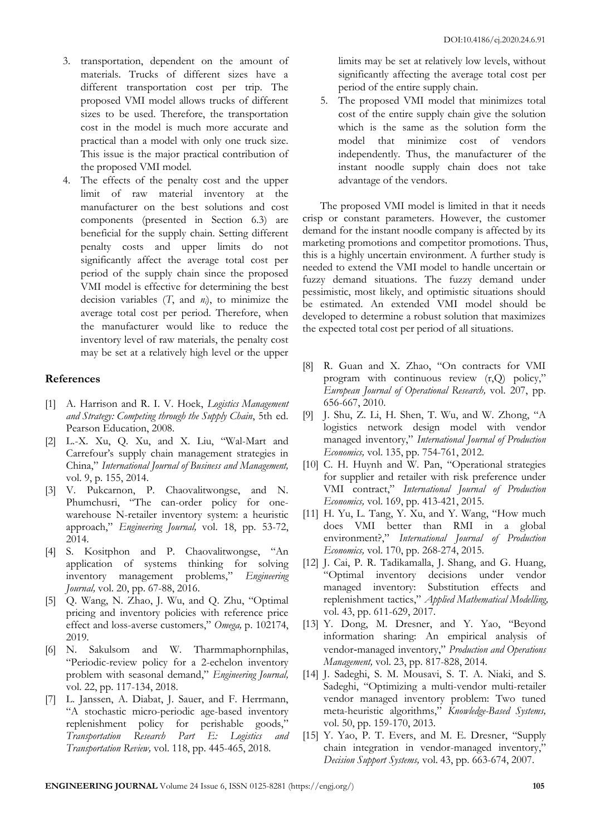- 3. transportation, dependent on the amount of materials. Trucks of different sizes have a different transportation cost per trip. The proposed VMI model allows trucks of different sizes to be used. Therefore, the transportation cost in the model is much more accurate and practical than a model with only one truck size. This issue is the major practical contribution of the proposed VMI model.
- 4. The effects of the penalty cost and the upper limit of raw material inventory at the manufacturer on the best solutions and cost components (presented in Section 6.3) are beneficial for the supply chain. Setting different penalty costs and upper limits do not significantly affect the average total cost per period of the supply chain since the proposed VMI model is effective for determining the best decision variables (*T*, and *ni*), to minimize the average total cost per period. Therefore, when the manufacturer would like to reduce the inventory level of raw materials, the penalty cost may be set at a relatively high level or the upper

## **References**

- [1] A. Harrison and R. I. V. Hoek, *Logistics Management and Strategy: Competing through the Supply Chain*, 5th ed. Pearson Education, 2008.
- [2] L.-X. Xu, Q. Xu, and X. Liu, "Wal-Mart and Carrefour's supply chain management strategies in China," *International Journal of Business and Management,*  vol. 9, p. 155, 2014.
- [3] V. Pukcarnon, P. Chaovalitwongse, and N. Phumchusri, "The can-order policy for onewarehouse N-retailer inventory system: a heuristic approach," *Engineering Journal,* vol. 18, pp. 53-72, 2014.
- [4] S. Kositphon and P. Chaovalitwongse, "An application of systems thinking for solving inventory management problems," *Engineering Journal,* vol. 20, pp. 67-88, 2016.
- [5] Q. Wang, N. Zhao, J. Wu, and Q. Zhu, "Optimal pricing and inventory policies with reference price effect and loss-averse customers," *Omega,* p. 102174, 2019.
- [6] N. Sakulsom and W. Tharmmaphornphilas, "Periodic-review policy for a 2-echelon inventory problem with seasonal demand," *Engineering Journal,*  vol. 22, pp. 117-134, 2018.
- [7] L. Janssen, A. Diabat, J. Sauer, and F. Herrmann, "A stochastic micro-periodic age-based inventory replenishment policy for perishable goods,' *Transportation Research Part E: Logistics and Transportation Review,* vol. 118, pp. 445-465, 2018.

limits may be set at relatively low levels, without significantly affecting the average total cost per period of the entire supply chain.

5. The proposed VMI model that minimizes total cost of the entire supply chain give the solution which is the same as the solution form the model that minimize cost of vendors independently. Thus, the manufacturer of the instant noodle supply chain does not take advantage of the vendors.

The proposed VMI model is limited in that it needs crisp or constant parameters. However, the customer demand for the instant noodle company is affected by its marketing promotions and competitor promotions. Thus, this is a highly uncertain environment. A further study is needed to extend the VMI model to handle uncertain or fuzzy demand situations. The fuzzy demand under pessimistic, most likely, and optimistic situations should be estimated. An extended VMI model should be developed to determine a robust solution that maximizes the expected total cost per period of all situations.

- [8] R. Guan and X. Zhao, "On contracts for VMI program with continuous review (r,Q) policy," *European Journal of Operational Research,* vol. 207, pp. 656-667, 2010.
- [9] J. Shu, Z. Li, H. Shen, T. Wu, and W. Zhong, "A logistics network design model with vendor managed inventory," *International Journal of Production Economics,* vol. 135, pp. 754-761, 2012.
- [10] C. H. Huynh and W. Pan, "Operational strategies for supplier and retailer with risk preference under VMI contract," *International Journal of Production Economics,* vol. 169, pp. 413-421, 2015.
- [11] H. Yu, L. Tang, Y. Xu, and Y. Wang, "How much does VMI better than RMI in a global environment?," *International Journal of Production Economics,* vol. 170, pp. 268-274, 2015.
- [12] J. Cai, P. R. Tadikamalla, J. Shang, and G. Huang, "Optimal inventory decisions under vendor managed inventory: Substitution effects and replenishment tactics," *Applied Mathematical Modelling,*  vol. 43, pp. 611-629, 2017.
- [13] Y. Dong, M. Dresner, and Y. Yao, "Beyond information sharing: An empirical analysis of vendor‐managed inventory," *Production and Operations Management,* vol. 23, pp. 817-828, 2014.
- [14] J. Sadeghi, S. M. Mousavi, S. T. A. Niaki, and S. Sadeghi, "Optimizing a multi-vendor multi-retailer vendor managed inventory problem: Two tuned meta-heuristic algorithms," *Knowledge-Based Systems,*  vol. 50, pp. 159-170, 2013.
- [15] Y. Yao, P. T. Evers, and M. E. Dresner, "Supply chain integration in vendor-managed inventory," *Decision Support Systems,* vol. 43, pp. 663-674, 2007.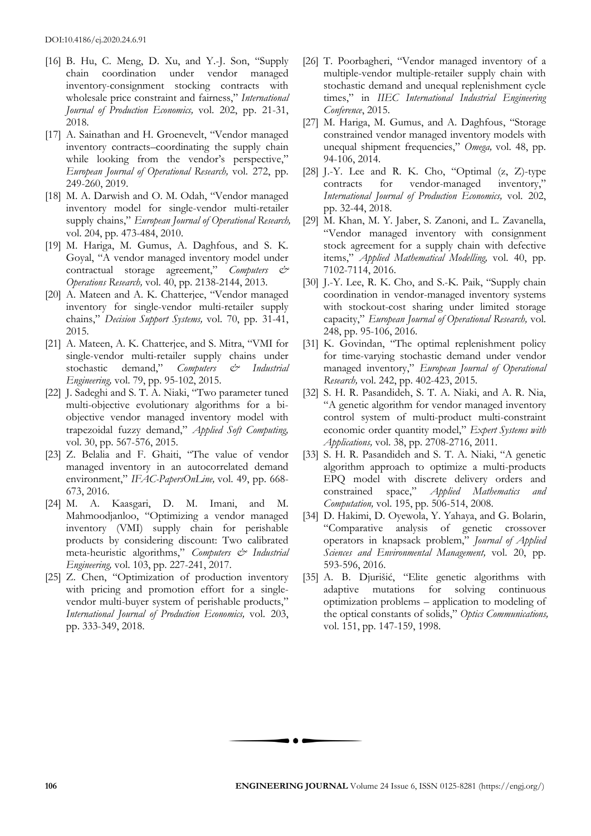- [16] B. Hu, C. Meng, D. Xu, and Y.-J. Son, "Supply chain coordination under vendor managed inventory-consignment stocking contracts with wholesale price constraint and fairness," *International Journal of Production Economics,* vol. 202, pp. 21-31, 2018.
- [17] A. Sainathan and H. Groenevelt, "Vendor managed inventory contracts–coordinating the supply chain while looking from the vendor's perspective," *European Journal of Operational Research,* vol. 272, pp. 249-260, 2019.
- [18] M. A. Darwish and O. M. Odah, "Vendor managed inventory model for single-vendor multi-retailer supply chains," *European Journal of Operational Research,*  vol. 204, pp. 473-484, 2010.
- [19] M. Hariga, M. Gumus, A. Daghfous, and S. K. Goyal, "A vendor managed inventory model under contractual storage agreement," *Computers & Operations Research,* vol. 40, pp. 2138-2144, 2013.
- [20] A. Mateen and A. K. Chatterjee, "Vendor managed inventory for single-vendor multi-retailer supply chains," *Decision Support Systems,* vol. 70, pp. 31-41, 2015.
- [21] A. Mateen, A. K. Chatterjee, and S. Mitra, "VMI for single-vendor multi-retailer supply chains under stochastic demand," *Computers & Industrial Engineering,* vol. 79, pp. 95-102, 2015.
- [22] J. Sadeghi and S. T. A. Niaki, "Two parameter tuned multi-objective evolutionary algorithms for a biobjective vendor managed inventory model with trapezoidal fuzzy demand," *Applied Soft Computing,*  vol. 30, pp. 567-576, 2015.
- [23] Z. Belalia and F. Ghaiti, "The value of vendor managed inventory in an autocorrelated demand environment," *IFAC-PapersOnLine,* vol. 49, pp. 668- 673, 2016.
- [24] M. A. Kaasgari, D. M. Imani, and M. Mahmoodjanloo, "Optimizing a vendor managed inventory (VMI) supply chain for perishable products by considering discount: Two calibrated meta-heuristic algorithms," *Computers & Industrial Engineering,* vol. 103, pp. 227-241, 2017.
- [25] Z. Chen, "Optimization of production inventory with pricing and promotion effort for a singlevendor multi-buyer system of perishable products," *International Journal of Production Economics,* vol. 203, pp. 333-349, 2018.
- [26] T. Poorbagheri, "Vendor managed inventory of a multiple-vendor multiple-retailer supply chain with stochastic demand and unequal replenishment cycle times," in *IIEC International Industrial Engineering Conference*, 2015.
- [27] M. Hariga, M. Gumus, and A. Daghfous, "Storage constrained vendor managed inventory models with unequal shipment frequencies," *Omega,* vol. 48, pp. 94-106, 2014.
- [28] J.-Y. Lee and R. K. Cho, "Optimal  $(z, Z)$ -type contracts for vendor-managed inventory," *International Journal of Production Economics,* vol. 202, pp. 32-44, 2018.
- [29] M. Khan, M. Y. Jaber, S. Zanoni, and L. Zavanella, "Vendor managed inventory with consignment stock agreement for a supply chain with defective items," *Applied Mathematical Modelling,* vol. 40, pp. 7102-7114, 2016.
- [30] J.-Y. Lee, R. K. Cho, and S.-K. Paik, "Supply chain coordination in vendor-managed inventory systems with stockout-cost sharing under limited storage capacity," *European Journal of Operational Research,* vol. 248, pp. 95-106, 2016.
- [31] K. Govindan, "The optimal replenishment policy for time-varying stochastic demand under vendor managed inventory," *European Journal of Operational Research,* vol. 242, pp. 402-423, 2015.
- [32] S. H. R. Pasandideh, S. T. A. Niaki, and A. R. Nia, "A genetic algorithm for vendor managed inventory control system of multi-product multi-constraint economic order quantity model," *Expert Systems with Applications,* vol. 38, pp. 2708-2716, 2011.
- [33] S. H. R. Pasandideh and S. T. A. Niaki, "A genetic algorithm approach to optimize a multi-products EPQ model with discrete delivery orders and constrained space," *Applied Mathematics and Computation,* vol. 195, pp. 506-514, 2008.
- [34] D. Hakimi, D. Oyewola, Y. Yahaya, and G. Bolarin, "Comparative analysis of genetic crossover operators in knapsack problem," *Journal of Applied Sciences and Environmental Management,* vol. 20, pp. 593-596, 2016.
- [35] A. B. Djurišić, "Elite genetic algorithms with adaptive mutations for solving continuous optimization problems – application to modeling of the optical constants of solids," *Optics Communications,*  vol. 151, pp. 147-159, 1998.